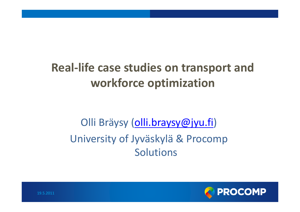### **Real‐life case studies on transport and workforce optimization**

#### Olli Bräysy (olli.braysy@jyu.fi) University of Jyväskylä & Procomp Solutions



19.5.2011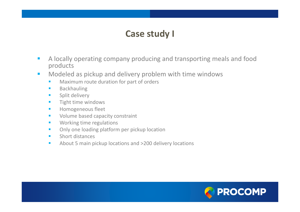#### **Case study I**

- $\mathbb{R}^n$ **A locally operating company producing and transporting meals and food** products
- $\mathcal{L}_{\mathcal{A}}$ **• Modeled as pickup and delivery problem with time windows** 
	- $\mathcal{L}_{\text{max}}$ **Naximum route duration for part of orders**
	- $\mathcal{L}_{\mathcal{A}}$ Backhauling
	- $\mathbf{r}$ Split delivery
	- $\mathcal{L}_{\mathcal{A}}$ Tight time windows
	- $\mathcal{L}_{\mathcal{A}}$ Homogeneous fleet
	- $\mathcal{L}_{\mathcal{A}}$ **Volume based capacity constraint**
	- $\mathcal{L}_{\mathcal{A}}$ Working time regulations
	- $\mathcal{L}_{\mathcal{A}}$ Only one loading platform per pickup location
	- $\mathcal{L}_{\mathcal{A}}$ Short distances
	- $\mathcal{L}_{\mathcal{A}}$ **About 5 main pickup locations and >200 delivery locations**

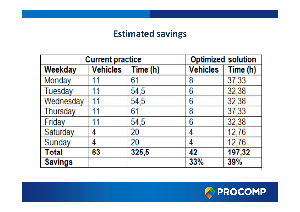#### **Estimated savings**

| <b>Current practice</b> |                 |          |                 | <b>Optimized solution</b> |  |
|-------------------------|-----------------|----------|-----------------|---------------------------|--|
| Weekday                 | <b>Vehicles</b> | Time (h) | <b>Vehicles</b> | Time (h)                  |  |
| Monday                  | 11              | 61       | 8               | 37,33                     |  |
| Tuesday                 | 11              | 54,5     | 6               | 32,38                     |  |
| Wednesday               | 11              | 54,5     | 6               | 32,38                     |  |
| <b>Thursday</b>         | 11              | 61       | 8               | 37,33                     |  |
| Friday                  | 11              | 54,5     | 6               | 32,38                     |  |
| Saturday                | 4               | 20       | 4               | 12,76                     |  |
| Sunday                  | 4               | 20       | 4               | 12,76                     |  |
| <b>Total</b>            | 63              | 325,5    | 42              | 197,32                    |  |
| <b>Savings</b>          |                 |          | 33%             | 39%                       |  |

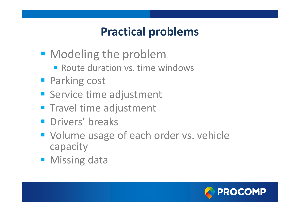#### **Practical problems**

- **Modeling the problem** 
	- **Route duration vs. time windows**
- **Parking cost**
- **Service time adjustment**
- **Travel time adjustment**
- **Paragers** breaks
- **Volume usage of each order vs. vehicle** capacity
- **Missing data**

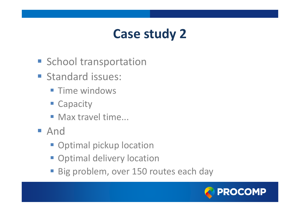# **Case study 2**

- **School transportation**
- **Standard issues:** 
	- **Time windows**
	- **E** Capacity
	- **Max travel time...**
- And
	- **Optimal pickup location**
	- **Optimal delivery location**
	- Big problem, over 150 routes each day

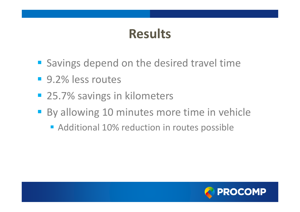# **Results**

- **Savings depend on the desired travel time**
- 9.2% less routes
- 25.7% savings in kilometers
- **By allowing 10 minutes more time in vehicle** 
	- **Additional 10% reduction in routes possible**

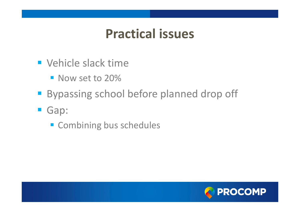#### **Practical issues**

- **Vehicle slack time** 
	- **Now set to 20%**
- **Bypassing school before planned drop off**
- Gap:
	- **Combining bus schedules**

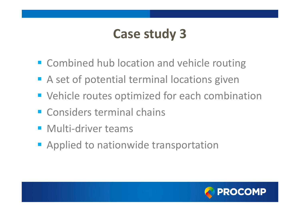# **Case study 3**

- **EX Combined hub location and vehicle routing**
- **A** set of potential terminal locations given
- **Vehicle routes optimized for each combination**
- **Exercise Considers terminal chains**
- Multi-driver teams
- **Applied to nationwide transportation**

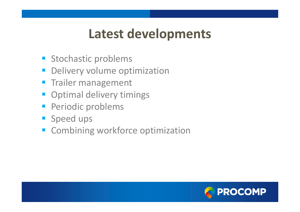## **Latest developments**

- **Stochastic problems**
- Delivery volume optimization
- **Trailer management**
- **Optimal delivery timings**
- **Periodic problems**
- **Speed ups**
- **EXCOMBINING WORKFORCE Optimization**

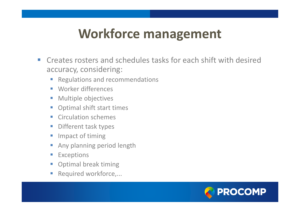### **Workforce management**

- $\sim$ **EXTE:** Creates rosters and schedules tasks for each shift with desired accuracy, considering:
	- $\mathcal{L}_{\mathcal{A}}$ Regulations and recommendations
	- $\overline{\mathcal{A}}$ Worker differences
	- $\mathcal{L}_{\mathcal{A}}$ Multiple objectives
	- $\mathbb{R}^3$ Optimal shift start times
	- $\overline{\mathbb{R}^n}$ **E** Circulation schemes
	- $\mathcal{L}_{\mathcal{A}}$ Different task types
	- $\mathcal{L}_{\mathcal{A}}$ Impact of timing
	- $\mathcal{C}_{\mathcal{A}}$ Any planning period length
	- $\mathcal{L}_{\mathcal{A}}$ Exceptions
	- $\mathcal{L}_{\mathcal{A}}$ Optimal break timing
	- $\mathcal{L}_{\mathcal{A}}$ Required workforce,...

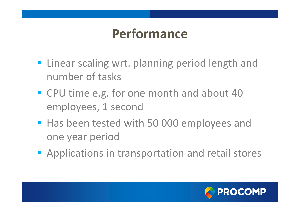# **Performance**

- **Example 21 Fig. 2** Linear scaling wrt. planning period length and number of tasks
- **CPU time e.g. for one month and about 40** employees, 1 second
- **Has been tested with 50 000 employees and** one year period
- **Applications in transportation and retail stores**

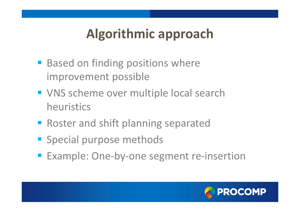# **Algorithmic approach**

- **Based on finding positions where** improvement possible
- **VNS scheme over multiple local search** heuristics
- **Roster and shift planning separated**
- **Special purpose methods**
- Example: One-by-one segment re-insertion

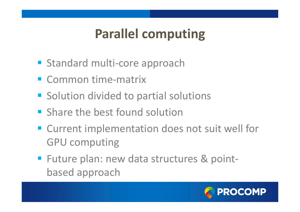# **Parallel computing**

- Standard multi-core approach
- Common time-matrix
- **Solution divided to partial solutions**
- **Share the best found solution**
- **EXTENT Current implementation does not suit well for** GPU computing
- Future plan: new data structures & pointbased approach